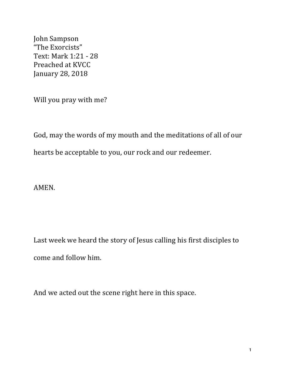John Sampson "The Exorcists" Text: Mark 1:21 - 28 Preached at KVCC January 28, 2018

Will you pray with me?

God, may the words of my mouth and the meditations of all of our hearts be acceptable to you, our rock and our redeemer.

AMEN.

Last week we heard the story of Jesus calling his first disciples to come and follow him.

And we acted out the scene right here in this space.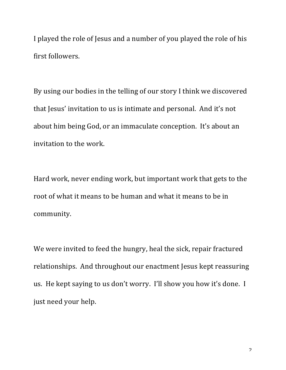I played the role of Jesus and a number of you played the role of his first followers.

By using our bodies in the telling of our story I think we discovered that Jesus' invitation to us is intimate and personal. And it's not about him being God, or an immaculate conception. It's about an invitation to the work.

Hard work, never ending work, but important work that gets to the root of what it means to be human and what it means to be in community.

We were invited to feed the hungry, heal the sick, repair fractured relationships. And throughout our enactment Jesus kept reassuring us. He kept saying to us don't worry. I'll show you how it's done. I just need your help.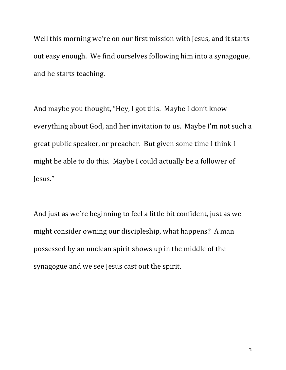Well this morning we're on our first mission with Jesus, and it starts out easy enough. We find ourselves following him into a synagogue, and he starts teaching.

And maybe you thought, "Hey, I got this. Maybe I don't know everything about God, and her invitation to us. Maybe I'm not such a great public speaker, or preacher. But given some time I think I might be able to do this. Maybe I could actually be a follower of Jesus."

And just as we're beginning to feel a little bit confident, just as we might consider owning our discipleship, what happens? A man possessed by an unclean spirit shows up in the middle of the synagogue and we see Jesus cast out the spirit.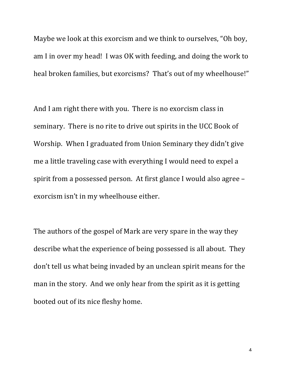Maybe we look at this exorcism and we think to ourselves, "Oh boy, am I in over my head! I was  $OK$  with feeding, and doing the work to heal broken families, but exorcisms? That's out of my wheelhouse!"

And I am right there with you. There is no exorcism class in seminary. There is no rite to drive out spirits in the UCC Book of Worship. When I graduated from Union Seminary they didn't give me a little traveling case with everything I would need to expel a spirit from a possessed person. At first glance I would also agree  $$ exorcism isn't in my wheelhouse either.

The authors of the gospel of Mark are very spare in the way they describe what the experience of being possessed is all about. They don't tell us what being invaded by an unclean spirit means for the man in the story. And we only hear from the spirit as it is getting booted out of its nice fleshy home.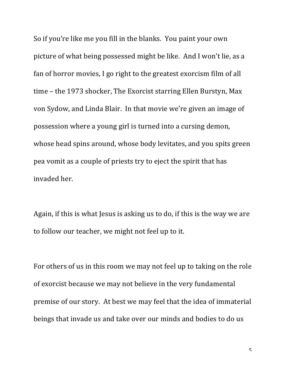So if you're like me you fill in the blanks. You paint your own picture of what being possessed might be like. And I won't lie, as a fan of horror movies, I go right to the greatest exorcism film of all time – the 1973 shocker, The Exorcist starring Ellen Burstyn, Max von Sydow, and Linda Blair. In that movie we're given an image of possession where a young girl is turned into a cursing demon, whose head spins around, whose body levitates, and you spits green pea vomit as a couple of priests try to eject the spirit that has invaded her.

Again, if this is what Jesus is asking us to do, if this is the way we are to follow our teacher, we might not feel up to it.

For others of us in this room we may not feel up to taking on the role of exorcist because we may not believe in the very fundamental premise of our story. At best we may feel that the idea of immaterial beings that invade us and take over our minds and bodies to do us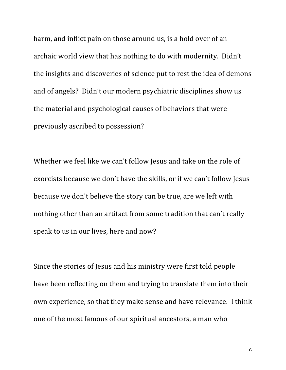harm, and inflict pain on those around us, is a hold over of an archaic world view that has nothing to do with modernity. Didn't the insights and discoveries of science put to rest the idea of demons and of angels? Didn't our modern psychiatric disciplines show us the material and psychological causes of behaviors that were previously ascribed to possession?

Whether we feel like we can't follow Jesus and take on the role of exorcists because we don't have the skills, or if we can't follow Jesus because we don't believe the story can be true, are we left with nothing other than an artifact from some tradition that can't really speak to us in our lives, here and now?

Since the stories of Jesus and his ministry were first told people have been reflecting on them and trying to translate them into their own experience, so that they make sense and have relevance. I think one of the most famous of our spiritual ancestors, a man who

6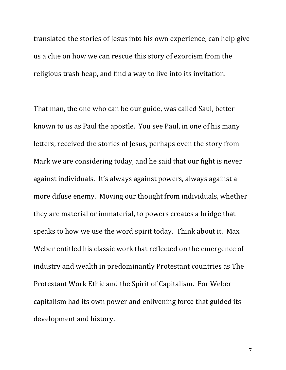translated the stories of Jesus into his own experience, can help give us a clue on how we can rescue this story of exorcism from the religious trash heap, and find a way to live into its invitation.

That man, the one who can be our guide, was called Saul, better known to us as Paul the apostle. You see Paul, in one of his many letters, received the stories of Jesus, perhaps even the story from Mark we are considering today, and he said that our fight is never against individuals. It's always against powers, always against a more difuse enemy. Moving our thought from individuals, whether they are material or immaterial, to powers creates a bridge that speaks to how we use the word spirit today. Think about it. Max Weber entitled his classic work that reflected on the emergence of industry and wealth in predominantly Protestant countries as The Protestant Work Ethic and the Spirit of Capitalism. For Weber capitalism had its own power and enlivening force that guided its development and history.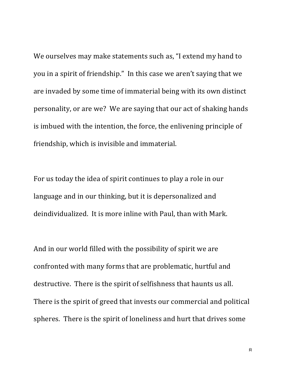We ourselves may make statements such as, "I extend my hand to you in a spirit of friendship." In this case we aren't saying that we are invaded by some time of immaterial being with its own distinct personality, or are we? We are saying that our act of shaking hands is imbued with the intention, the force, the enlivening principle of friendship, which is invisible and immaterial.

For us today the idea of spirit continues to play a role in our language and in our thinking, but it is depersonalized and deindividualized. It is more inline with Paul, than with Mark.

And in our world filled with the possibility of spirit we are confronted with many forms that are problematic, hurtful and destructive. There is the spirit of selfishness that haunts us all. There is the spirit of greed that invests our commercial and political spheres. There is the spirit of loneliness and hurt that drives some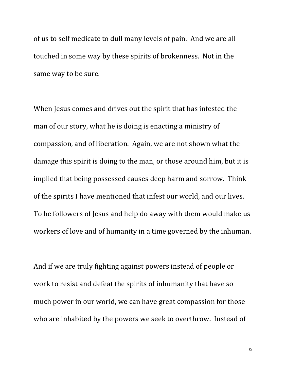of us to self medicate to dull many levels of pain. And we are all touched in some way by these spirits of brokenness. Not in the same way to be sure.

When Jesus comes and drives out the spirit that has infested the man of our story, what he is doing is enacting a ministry of compassion, and of liberation. Again, we are not shown what the damage this spirit is doing to the man, or those around him, but it is implied that being possessed causes deep harm and sorrow. Think of the spirits I have mentioned that infest our world, and our lives. To be followers of Jesus and help do away with them would make us workers of love and of humanity in a time governed by the inhuman.

And if we are truly fighting against powers instead of people or work to resist and defeat the spirits of inhumanity that have so much power in our world, we can have great compassion for those who are inhabited by the powers we seek to overthrow. Instead of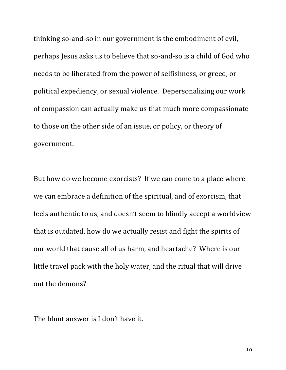thinking so-and-so in our government is the embodiment of evil, perhaps Jesus asks us to believe that so-and-so is a child of God who needs to be liberated from the power of selfishness, or greed, or political expediency, or sexual violence. Depersonalizing our work of compassion can actually make us that much more compassionate to those on the other side of an issue, or policy, or theory of government.

But how do we become exorcists? If we can come to a place where we can embrace a definition of the spiritual, and of exorcism, that feels authentic to us, and doesn't seem to blindly accept a worldview that is outdated, how do we actually resist and fight the spirits of our world that cause all of us harm, and heartache? Where is our little travel pack with the holy water, and the ritual that will drive out the demons?

The blunt answer is I don't have it.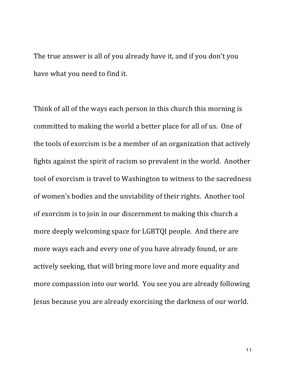The true answer is all of you already have it, and if you don't you have what you need to find it.

Think of all of the ways each person in this church this morning is committed to making the world a better place for all of us. One of the tools of exorcism is be a member of an organization that actively fights against the spirit of racism so prevalent in the world. Another tool of exorcism is travel to Washington to witness to the sacredness of women's bodies and the unviability of their rights. Another tool of exorcism is to join in our discernment to making this church a more deeply welcoming space for LGBTQI people. And there are more ways each and every one of you have already found, or are actively seeking, that will bring more love and more equality and more compassion into our world. You see you are already following Jesus because you are already exorcising the darkness of our world.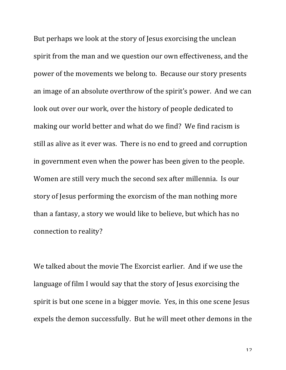But perhaps we look at the story of Jesus exorcising the unclean spirit from the man and we question our own effectiveness, and the power of the movements we belong to. Because our story presents an image of an absolute overthrow of the spirit's power. And we can look out over our work, over the history of people dedicated to making our world better and what do we find? We find racism is still as alive as it ever was. There is no end to greed and corruption in government even when the power has been given to the people. Women are still very much the second sex after millennia. Is our story of Jesus performing the exorcism of the man nothing more than a fantasy, a story we would like to believe, but which has no connection to reality?

We talked about the movie The Exorcist earlier. And if we use the language of film I would say that the story of Jesus exorcising the spirit is but one scene in a bigger movie. Yes, in this one scene Jesus expels the demon successfully. But he will meet other demons in the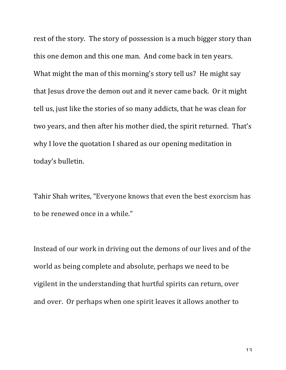rest of the story. The story of possession is a much bigger story than this one demon and this one man. And come back in ten years. What might the man of this morning's story tell us? He might say that Jesus drove the demon out and it never came back. Or it might tell us, just like the stories of so many addicts, that he was clean for two years, and then after his mother died, the spirit returned. That's why I love the quotation I shared as our opening meditation in today's bulletin.

Tahir Shah writes, "Everyone knows that even the best exorcism has to be renewed once in a while."

Instead of our work in driving out the demons of our lives and of the world as being complete and absolute, perhaps we need to be vigilent in the understanding that hurtful spirits can return, over and over. Or perhaps when one spirit leaves it allows another to